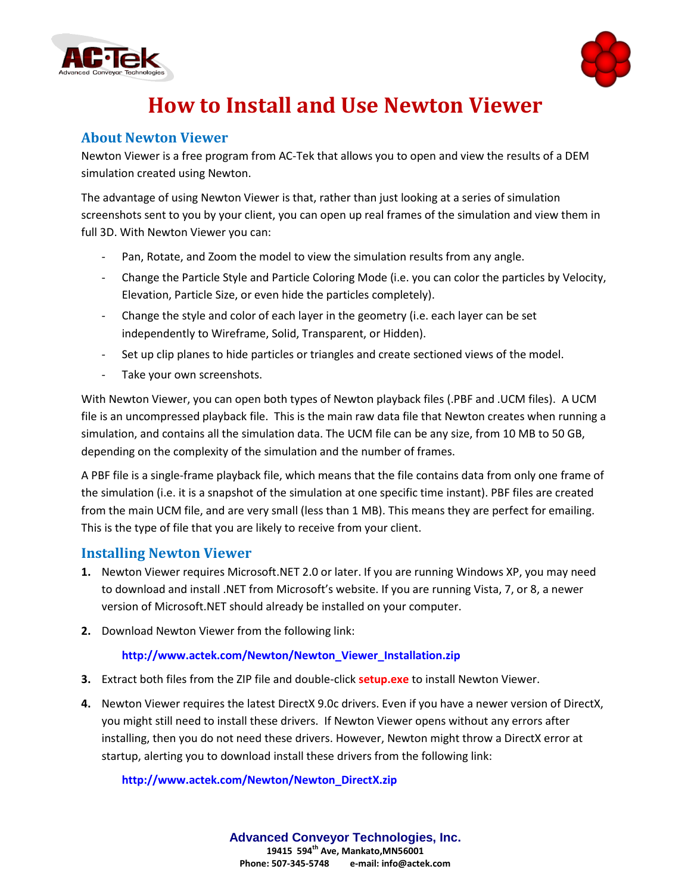



# **How to Install and Use Newton Viewer**

## **About Newton Viewer**

Newton Viewer is a free program from AC-Tek that allows you to open and view the results of a DEM simulation created using Newton.

The advantage of using Newton Viewer is that, rather than just looking at a series of simulation screenshots sent to you by your client, you can open up real frames of the simulation and view them in full 3D. With Newton Viewer you can:

- Pan, Rotate, and Zoom the model to view the simulation results from any angle.
- Change the Particle Style and Particle Coloring Mode (i.e. you can color the particles by Velocity, Elevation, Particle Size, or even hide the particles completely).
- Change the style and color of each layer in the geometry (i.e. each layer can be set independently to Wireframe, Solid, Transparent, or Hidden).
- Set up clip planes to hide particles or triangles and create sectioned views of the model.
- Take your own screenshots.

With Newton Viewer, you can open both types of Newton playback files (.PBF and .UCM files). A UCM file is an uncompressed playback file. This is the main raw data file that Newton creates when running a simulation, and contains all the simulation data. The UCM file can be any size, from 10 MB to 50 GB, depending on the complexity of the simulation and the number of frames.

A PBF file is a single-frame playback file, which means that the file contains data from only one frame of the simulation (i.e. it is a snapshot of the simulation at one specific time instant). PBF files are created from the main UCM file, and are very small (less than 1 MB). This means they are perfect for emailing. This is the type of file that you are likely to receive from your client.

### **Installing Newton Viewer**

- **1.** Newton Viewer requires Microsoft.NET 2.0 or later. If you are running Windows XP, you may need to download and install .NET from Microsoft's website. If you are running Vista, 7, or 8, a newer version of Microsoft.NET should already be installed on your computer.
- **2.** Download Newton Viewer from the following link:

#### **[http://www.actek.com/Newton/Newton\\_Viewer\\_Installation.zip](http://www.actek.com/Newton/Newton_Viewer_Installation.zip)**

- **3.** Extract both files from the ZIP file and double-click **setup.exe** to install Newton Viewer.
- **4.** Newton Viewer requires the latest DirectX 9.0c drivers. Even if you have a newer version of DirectX, you might still need to install these drivers. If Newton Viewer opens without any errors after installing, then you do not need these drivers. However, Newton might throw a DirectX error at startup, alerting you to download install these drivers from the following link:

#### **[http://www.actek.com/Newton/Newton\\_DirectX.zip](http://www.actek.com/Newton/Newton_DirectX.zip)**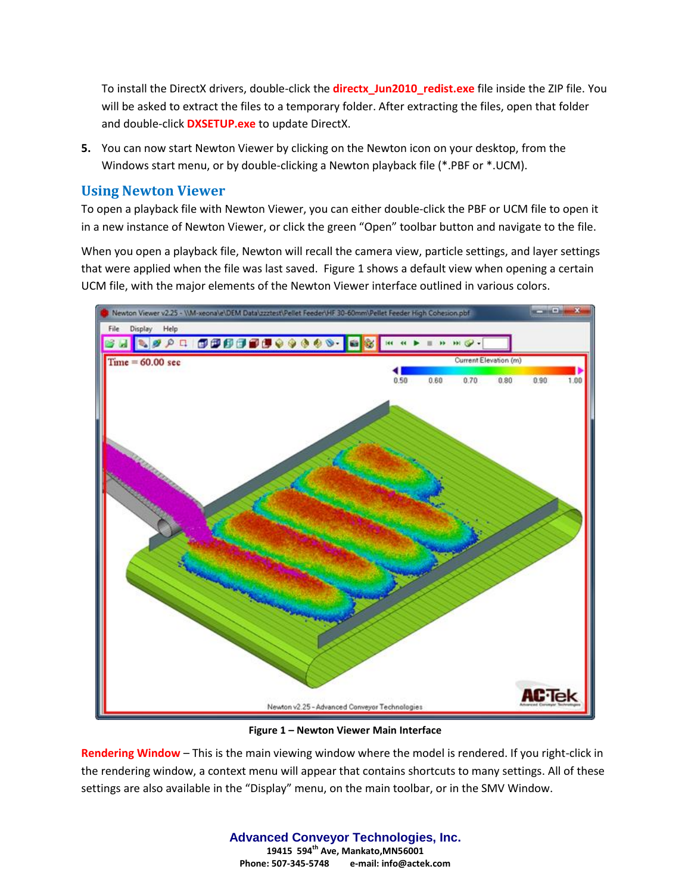To install the DirectX drivers, double-click the **directx\_Jun2010\_redist.exe** file inside the ZIP file. You will be asked to extract the files to a temporary folder. After extracting the files, open that folder and double-click **DXSETUP.exe** to update DirectX.

**5.** You can now start Newton Viewer by clicking on the Newton icon on your desktop, from the Windows start menu, or by double-clicking a Newton playback file (\*.PBF or \*.UCM).

## **Using Newton Viewer**

To open a playback file with Newton Viewer, you can either double-click the PBF or UCM file to open it in a new instance of Newton Viewer, or click the green "Open" toolbar button and navigate to the file.

When you open a playback file, Newton will recall the camera view, particle settings, and layer settings that were applied when the file was last saved. Figure 1 shows a default view when opening a certain UCM file, with the major elements of the Newton Viewer interface outlined in various colors.



**Figure 1 – Newton Viewer Main Interface**

**Rendering Window** – This is the main viewing window where the model is rendered. If you right-click in the rendering window, a context menu will appear that contains shortcuts to many settings. All of these settings are also available in the "Display" menu, on the main toolbar, or in the SMV Window.